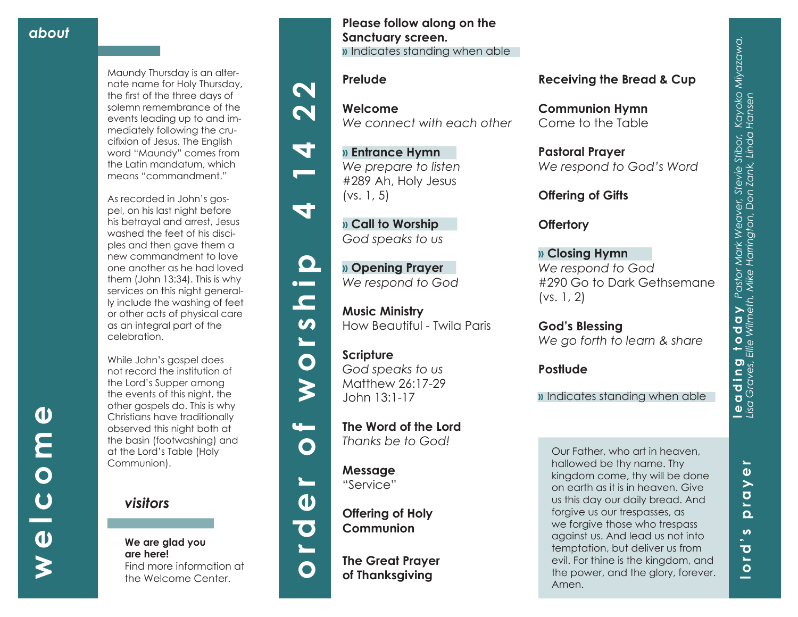**lord's prayer**

 $\boldsymbol{\omega}$ 

 $\overline{\mathbf{o}}$  $\blacksquare$ 

 $\bullet$ and the contract of the contract of the contract of the contract of the contract of the contract of the contract of the contract of the contract of the contract of the contract of the contract of the contract of the contra

£.  $\Omega$ 

 $\mathbf{r}$ 

 $\boldsymbol{\omega}$  $\geq$ 

Maundy Thursday is an alter nate name for Holy Thursday, the first of the three days of solemn remembrance of the events leading up to and im mediately following the cru cifixion of Jesus. The English word "Maundy" comes from the Latin mandatum, which means "commandment."

As recorded in John's gos pel, on his last night before his betrayal and arrest, Jesus washed the feet of his disci ples and then gave them a new commandment to love one another as he had loved them (John 13:34). This is why services on this night general ly include the washing of feet or other acts of physical care as an integral part of the celebration.

While John's gospel does not record the institution of the Lord's Supper among the events of this night, the other gospels do. This is why Christians have traditionally observed this night both at the basin (footwashing) and at the Lord's Table (Holy Communion).



**We are glad you are here!** Find more information at the Welcome Center.

**Please follow along on the Sanctuary screen. »** Indicates standing when able

## **Prelude**

 $\boldsymbol{\mathsf{N}}$ 

 $\boldsymbol{\mathsf{N}}$ 

4

त

 $\mathbf{\Omega}$  $\bullet$  and  $\bullet$ 

 $\blacksquare$  $\boldsymbol{\omega}$  $\blacksquare$ 

 $\bullet$ 

 $\boldsymbol{\zeta}$ 

 $\mathbf{u}$ 

 $\mathbf O$ 

 $\mathbf{r}$ 

 $\mathbf O$ 

**Welcome** *We connect with each other*

**» Entrance Hymn**  *We prepare to listen* #289 Ah, Holy Jesus (vs. 1, 5)

**» Call to Worship**  *God speaks to us*

**» Opening Prayer**  *We respond to God*

**Music Ministry**  How Beautiful - Twila Paris

**Scripture** *God speaks to us* Matthew 26:17-29 John 13:1-17

**The Word of the Lord**  *Thanks be to God!*

**Message** "Service"



**Offering of Holy Communion**

**The Great Prayer of Thanksgiving**

## **Receiving the Bread & Cup**

**Communion Hymn** Come to the Table

**Pastoral Prayer** *We respond to God's Word*

**Offering of Gifts** 

**Offertory**

**» Closing Hymn** *We respond to God* #290 Go to Dark Gethsemane (vs. 1, 2)

**God's Blessing** *We go forth to learn & share*

**Postlude**

**»** Indicates standing when able

Our Father, who art in heaven, hallowed be thy name. Thy kingdom come, thy will be done on earth as it is in heaven. Give us this day our daily bread. And forgive us our trespasses, as we forgive those who trespass against us. And lead us not into temptation, but deliver us from evil. For thine is the kingdom, and the power, and the glory, forever. Amen.

 $\boldsymbol{\omega}$